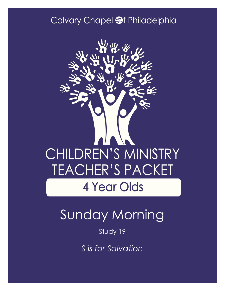### Calvary Chapel @f Philadelphia



# Sunday Morning

#### Study 19

*S is for Salvation*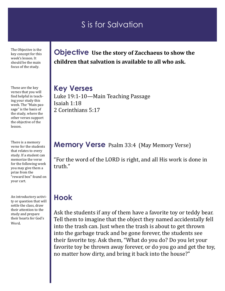### S is for Salvation

The Objective is the key concept for this week's lesson. It should be the main focus of the study.

These are the key verses that you will find helpful in teaching your study this week. The "Main passage" is the basis of the study, where the other verses support the objective of the lesson.

There is a memory verse for the students that relates to every study. If a student can memorize the verse for the following week you may give them a prize from the "reward box" found on your cart.

An introductory activity or question that will settle the class, draw their attention to the study and prepare their hearts for God's Word.

**Objective Use the story of Zacchaeus to show the children that salvation is available to all who ask.** 

**Key Verses** Luke 19:1-10—Main Teaching Passage Isaiah 1:18 2 Corinthians 5:17

#### **Memory Verse** Psalm 33:4 (May Memory Verse)

"For the word of the LORD is right, and all His work is done in truth."

### **Hook**

Ask the students if any of them have a favorite toy or teddy bear. Tell them to imagine that the object they named accidentally fell into the trash can. Just when the trash is about to get thrown into the garbage truck and be gone forever, the students see their favorite toy. Ask them, "What do you do? Do you let your favorite toy be thrown away forever, or do you go and get the toy, no matter how dirty, and bring it back into the house?"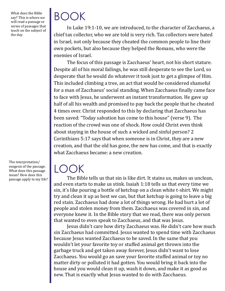What does the Bible say? This is where we will read a passage or series of passages that teach on the subject of the day.

BOOK

In Luke 19:1-10, we are introduced, to the character of Zacchaeus, a chief tax collector, who we are told is very rich. Tax collectors were hated in Israel, not only because they cheated the common people to line their own pockets, but also because they helped the Romans, who were the enemies of Israel.

The focus of this passage is Zacchaeus' heart, not his short stature. Despite all of his moral failings, he was still desperate to see the Lord, so desperate that he would do whatever it took just to get a glimpse of Him. This included climbing a tree, an act that would be considered shameful for a man of Zacchaeus' social standing. When Zacchaeus finally came face to face with Jesus, he underwent an instant transformation. He gave up half of all his wealth and promised to pay back the people that he cheated 4 times over. Christ responded to this by declaring that Zacchaeus has been saved: "Today salvation has come to this house" (verse 9). The reaction of the crowd was one of shock. How could Christ even think about staying in the house of such a wicked and sinful person? 2 Corinthians 5:17 says that when someone is in Christ, they are a new creation, and that the old has gone, the new has come, and that is exactly what Zacchaeus became: a new creation.

#### The interpretation/ exegesis of the passage. What does this passage mean? How does this passage apply to my life?

# LOOK

The Bible tells us that sin is like dirt. It stains us, makes us unclean, and even starts to make us stink. Isaiah 1:18 tells us that every time we sin, it's like pouring a bottle of ketchup on a clean white t-shirt. We might try and clean it up as best we can, but that ketchup is going to leave a big red stain. Zacchaeus had done a lot of things wrong. He had hurt a lot of people and stolen money from them. Zacchaeus was covered in sin, and everyone knew it. In the Bible story that we read, there was only person that wanted to even speak to Zacchaeus, and that was Jesus.

Jesus didn't care how dirty Zacchaeus was. He didn't care how much sin Zacchaeus had committed. Jesus wanted to spend time with Zacchaeus because Jesus wanted Zacchaeus to be saved. In the same that you wouldn't let your favorite toy or stuffed animal get thrown into the garbage truck and get taken away forever, Jesus didn't want to lose Zacchaeus. You would go an save your favorite stuffed animal or toy no matter dirty or polluted it had gotten. You would bring it back into the house and you would clean it up, wash it down, and make it as good as new. That is exactly what Jesus wanted to do with Zacchaeus.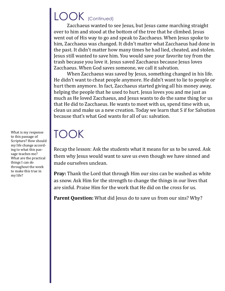## LOOK (Continued)

Zacchaeus wanted to see Jesus, but Jesus came marching straight over to him and stood at the bottom of the tree that he climbed. Jesus went out of His way to go and speak to Zacchaeus. When Jesus spoke to him, Zacchaeus was changed. It didn't matter what Zacchaeus had done in the past. It didn't matter how many times he had lied, cheated, and stolen. Jesus still wanted to save him. You would save your favorite toy from the trash because you love it. Jesus saved Zacchaeus because Jesus loves Zacchaeus. When God saves someone, we call it salvation.

When Zacchaeus was saved by Jesus, something changed in his life. He didn't want to cheat people anymore. He didn't want to lie to people or hurt them anymore. In fact, Zacchaeus started giving all his money away, helping the people that he used to hurt. Jesus loves you and me just as much as He loved Zacchaeus, and Jesus wants to do the same thing for us that He did to Zacchaeus. He wants to meet with us, spend time with us, clean us and make us a new creation. Today we learn that S if for Salvation because that's what God wants for all of us: salvation.

# TOOK

Recap the lesson: Ask the students what it means for us to be saved. Ask them why Jesus would want to save us even though we have sinned and made ourselves unclean.

**Pray:** Thank the Lord that through Him our sins can be washed as white as snow. Ask Him for the strength to change the things in our lives that are sinful. Praise Him for the work that He did on the cross for us.

**Parent Question:** What did Jesus do to save us from our sins? Why?

What is my response to this passage of Scripture? How should my life change according to what this passage teaches me? What are the practical things I can do throughout the week to make this true in my life?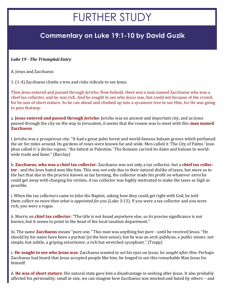## FURTHER STUDY

#### **Commentary on Luke 19:1-10 by David Guzik**

#### *Luke 19 - The Triumphal Entry*

A. Jesus and Zacchaeus

1. (1-4) Zacchaeus climbs a tree and risks ridicule to see Jesus.

Then *Jesus* entered and passed through Jericho. Now behold, *there was* a man named Zacchaeus who was a chief tax collector, and he was rich. And he sought to see who Jesus was, but could not because of the crowd, for he was of short stature. So he ran ahead and climbed up into a sycamore tree to see Him, for He was going to pass that*way.*

a. **Jesus entered and passed through Jericho**: Jericho was an ancient and important city, and as Jesus passed through the city on His way to Jerusalem, it seems that the reason was to meet with this **man named Zacchaeus**.

i. Jericho was a prosperous city. "It had a great palm forest and world-famous balsam groves which perfumed the air for miles around. Its gardens of roses were known far and wide. Men called it 'The City of Palms.' Josephus called it 'a divine region,' 'the fattest in Palestine.' The Romans carried its dates and balsam to worldwide trade and fame." (Barclay)

b. **Zacchaeus, who was a chief tax collector**: Zacchaeus was not only a tax collector, but a **chief tax collector** - and the Jews hated men like him. This was not only due to their natural dislike of taxes, but more so to the fact that due to the practice known as tax farming, the collector made his profit on whatever *extra* he could get away with charging his victims. A tax collector was highly motivated to make the taxes as high as possible.

i. When the tax collectors came to John the Baptist, asking how they could get right with God, he told them *collect no more than what is appointed for you* (Luke 3:13). If you were a tax collector and you were rich, you were a rogue.

ii. Morris on **chief tax collector**: "The title is not found anywhere else, so its precise significance is not known, but it seems to point to the head of the local taxation department."

iii. The name **Zacchaeus** means "pure one." This man was anything but pure - until he received Jesus. "He should by his name have been a puritan (in the best sense), but he was an arch-publican, a public sinner, not simple, but subtle, a griping extortioner, a rich but wretched sycophant." (Trapp)

c. **He sought to see who Jesus was**: Zacchaeus wanted to set his eyes on Jesus; he *sought after Him*. Perhaps Zacchaeus had heard that Jesus accepted people like him; he longed to see this remarkable Man Jesus for himself.

d. **He was of short stature**: His natural state gave him a disadvantage in seeking after Jesus. It also probably affected his personality; small in size, we can imagine how Zacchaeus was mocked and hated by others – and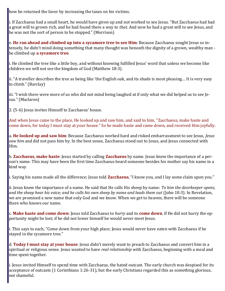how he returned the favor by increasing the taxes on his victims.

i. If Zacchaeus had a small heart, he would have given up and not worked to see Jesus. "But Zacchaeus had had a great will to grown rich, and he had found there a way to *that*. And now he had a great will to see Jesus, and he was not the sort of person to be stopped." (Morrison)

e. **He ran ahead and climbed up into a sycamore tree to see Him**: Because Zacchaeus sought Jesus so intensely, he didn't mind doing something that many thought was beneath the dignity of a grown, wealthy man he climbed up **a sycamore tree**.

i. He climbed the tree like a little boy, and without knowing fulfilled Jesus' word that unless we become like children we will not see the kingdom of God (Matthew 18:3).

ii. "A traveller describes the tree as being like 'the English oak, and its shade is most pleasing… It is very easy to climb." (Barclay)

iii. "I wish there were more of us who did not mind being laughed at if only what we did helped us to see Jesus." (Maclaren)

2. (5-6) Jesus invites Himself to Zacchaeus' house.

And when Jesus came to the place, He looked up and saw him, and said to him, "Zacchaeus, make haste and come down, for today I must stay at your house." So he made haste and came down, and received Him joyfully.

a. **He looked up and saw him**: Because Zacchaeus worked hard and risked embarrassment to see Jesus, *Jesus saw him* and did not pass him by. In the best sense, Zacchaeus stood out to Jesus, and Jesus connected with Him.

b. **Zacchaeus, make haste**: Jesus started by calling **Zacchaeus** by name. Jesus knew the importance of a person's name. This may have been the first time Zacchaeus heard someone besides his mother say his name in a kind way.

i. Saying his name made all the difference; Jesus told **Zacchaeus**, "I know you, and I lay some claim upon you."

ii. Jesus knew the importance of a name. He said that He calls His sheep by name: *To him the doorkeeper opens, and the sheep hear his voice; and he calls his own sheep by name and leads them out* (John 10:3). In Revelation, we are promised a new name that only God and we know. When we get to heaven, there will be someone there who knows our name.

c. **Make haste and come down**: Jesus told Zacchaeus to *hurry* and to **come down**. If He did not hurry the opportunity might be lost; if he did not lower himself he would never meet Jesus.

i. This says to each, "Come down from your high place; Jesus would never have eaten with Zacchaeus if he stayed in the sycamore tree."

d. **Today I must stay at your house**: Jesus didn't merely want to preach to Zacchaeus and convert him in a spiritual or religious sense. Jesus wanted to have *real relationship* with Zacchaeus, beginning with a meal and time spent together.

i. Jesus invited Himself to spend time with Zacchaeus, the hated outcast. The early church was despised for its acceptance of outcasts (1 Corinthians 1:26-31), but the early Christians regarded this as something glorious, not shameful.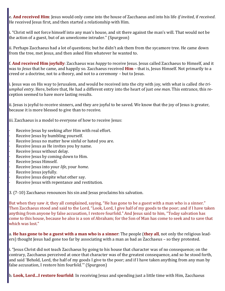e. **And received Him**: Jesus would only come into the house of Zacchaeus and into his life *if invited*, if *received*. He received Jesus first, and then started a relationship with Him.

i. "Christ will not force himself into any man's house, and sit there against the man's will. That would not be the action of a guest, but of an unwelcome intruder." (Spurgeon)

ii. Perhaps Zacchaeus had a lot of questions; but he didn't ask them from the sycamore tree. He came down from the tree, met Jesus, and then asked Him whatever he wanted to.

f. **And received Him joyfully**: Zacchaeus was *happy* to receive Jesus. Jesus called Zacchaeus to Himself, and it was to *Jesus* that he came, and happily so. Zacchaeus received **Him** – that is, Jesus Himself. Not primarily to a creed or a doctrine, not to a theory, and not to a ceremony – but to Jesus.

i. Jesus was on His way to Jerusalem, and would be received into the city with joy, with what is called *the triumphal entry*. Here, before that, He had a different entry into the heart of just *one man*. This entrance, this reception seemed to have more lasting results.

ii. Jesus is joyful to receive sinners, and they are joyful to be saved. We know that the joy of Jesus is greater, because it is more blessed to give than to receive.

iii. Zacchaeus is a model to everyone of how to receive Jesus:

- Receive Jesus by seeking after Him with real effort.
- Receive Jesus by humbling yourself.
- Receive Jesus no matter how sinful or hated you are.
- Receive Jesus as He invites you by name.
- Receive Jesus without delay.
- Receive Jesus by coming down to Him.
- Receive Jesus Himself.
- · Receive Jesus into your *life*, your *home*.
- Receive Jesus joyfully.
- Receive Jesus despite what other say.
- Receive Jesus with repentance and restitution.

3. (7-10) Zacchaeus renounces his sin and Jesus proclaims his salvation.

But when they saw *it,* they all complained, saying, "He has gone to be a guest with a man who is a sinner." Then Zacchaeus stood and said to the Lord, "Look, Lord, I give half of my goods to the poor; and if I have taken anything from anyone by false accusation, I restore fourfold." And Jesus said to him, "Today salvation has come to this house, because he also is a son of Abraham; for the Son of Man has come to seek and to save that which was lost."

a. **He has gone to be a guest with a man who is a sinner**: The people (**they all**, not only the religious leaders) thought Jesus had gone too far by associating with a man as bad as Zacchaeus – so they protested.

i. "Jesus Christ did not teach Zacchaeus by going to his house that character was of no consequence; on the contrary, Zacchaeus perceived at once that character was of the greatest consequence, and so he stood forth, and said 'Behold, Lord, the half of my goods I give to the poor; and if I have taken anything from any man by false accusation, I restore him fourfold.'" (Spurgeon)

b. **Look, Lord…I restore fourfold**: In receiving Jesus and spending just a little time with Him, Zacchaeus